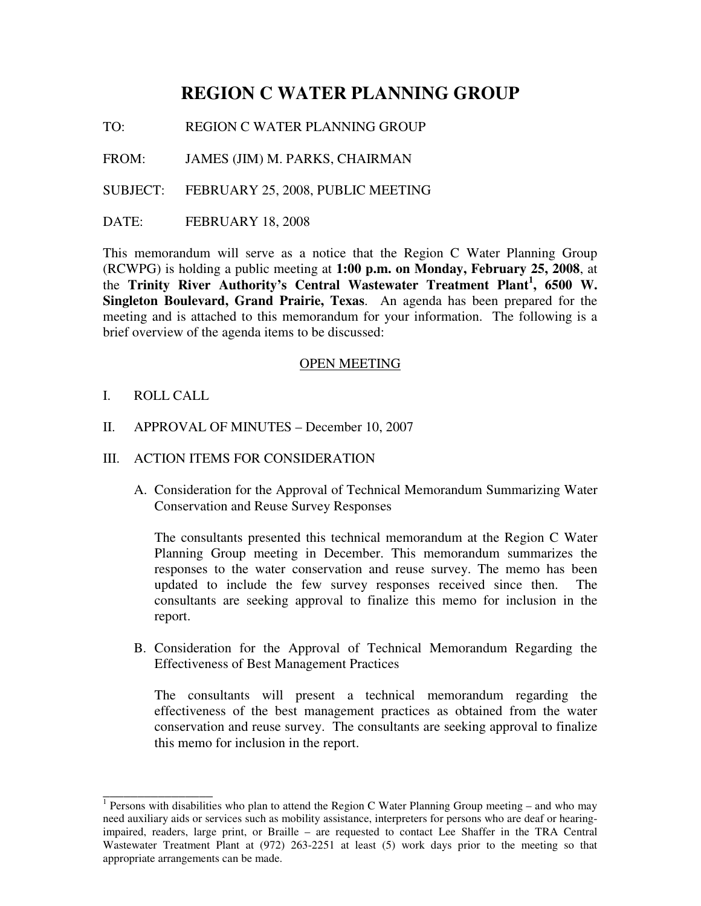# **REGION C WATER PLANNING GROUP**

TO: REGION C WATER PLANNING GROUP

FROM: JAMES (JIM) M. PARKS, CHAIRMAN

SUBJECT: FEBRUARY 25, 2008, PUBLIC MEETING

DATE: FEBRUARY 18, 2008

This memorandum will serve as a notice that the Region C Water Planning Group (RCWPG) is holding a public meeting at **1:00 p.m. on Monday, February 25, 2008**, at the **Trinity River Authority's Central Wastewater Treatment Plant 1 , 6500 W. Singleton Boulevard, Grand Prairie, Texas**. An agenda has been prepared for the meeting and is attached to this memorandum for your information. The following is a brief overview of the agenda items to be discussed:

#### OPEN MEETING

I. ROLL CALL

\_\_\_\_\_\_\_\_\_\_\_\_\_\_\_\_

- II. APPROVAL OF MINUTES December 10, 2007
- III. ACTION ITEMS FOR CONSIDERATION
	- A. Consideration for the Approval of Technical Memorandum Summarizing Water Conservation and Reuse Survey Responses

The consultants presented this technical memorandum at the Region C Water Planning Group meeting in December. This memorandum summarizes the responses to the water conservation and reuse survey. The memo has been updated to include the few survey responses received since then. The consultants are seeking approval to finalize this memo for inclusion in the report.

B. Consideration for the Approval of Technical Memorandum Regarding the Effectiveness of Best Management Practices

The consultants will present a technical memorandum regarding the effectiveness of the best management practices as obtained from the water conservation and reuse survey. The consultants are seeking approval to finalize this memo for inclusion in the report.

<sup>&</sup>lt;sup>1</sup> Persons with disabilities who plan to attend the Region C Water Planning Group meeting – and who may need auxiliary aids or services such as mobility assistance, interpreters for persons who are deaf or hearingimpaired, readers, large print, or Braille – are requested to contact Lee Shaffer in the TRA Central Wastewater Treatment Plant at (972) 263-2251 at least (5) work days prior to the meeting so that appropriate arrangements can be made.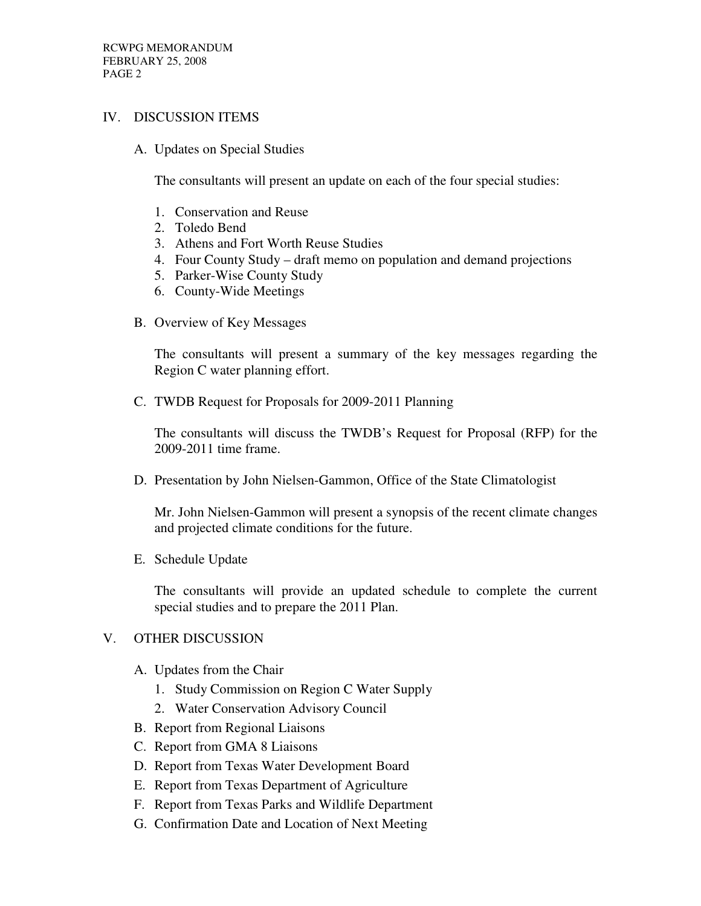### IV. DISCUSSION ITEMS

A. Updates on Special Studies

The consultants will present an update on each of the four special studies:

- 1. Conservation and Reuse
- 2. Toledo Bend
- 3. Athens and Fort Worth Reuse Studies
- 4. Four County Study draft memo on population and demand projections
- 5. Parker-Wise County Study
- 6. County-Wide Meetings
- B. Overview of Key Messages

The consultants will present a summary of the key messages regarding the Region C water planning effort.

C. TWDB Request for Proposals for 2009-2011 Planning

The consultants will discuss the TWDB's Request for Proposal (RFP) for the 2009-2011 time frame.

D. Presentation by John Nielsen-Gammon, Office of the State Climatologist

Mr. John Nielsen-Gammon will present a synopsis of the recent climate changes and projected climate conditions for the future.

E. Schedule Update

The consultants will provide an updated schedule to complete the current special studies and to prepare the 2011 Plan.

## V. OTHER DISCUSSION

- A. Updates from the Chair
	- 1. Study Commission on Region C Water Supply
	- 2. Water Conservation Advisory Council
- B. Report from Regional Liaisons
- C. Report from GMA 8 Liaisons
- D. Report from Texas Water Development Board
- E. Report from Texas Department of Agriculture
- F. Report from Texas Parks and Wildlife Department
- G. Confirmation Date and Location of Next Meeting